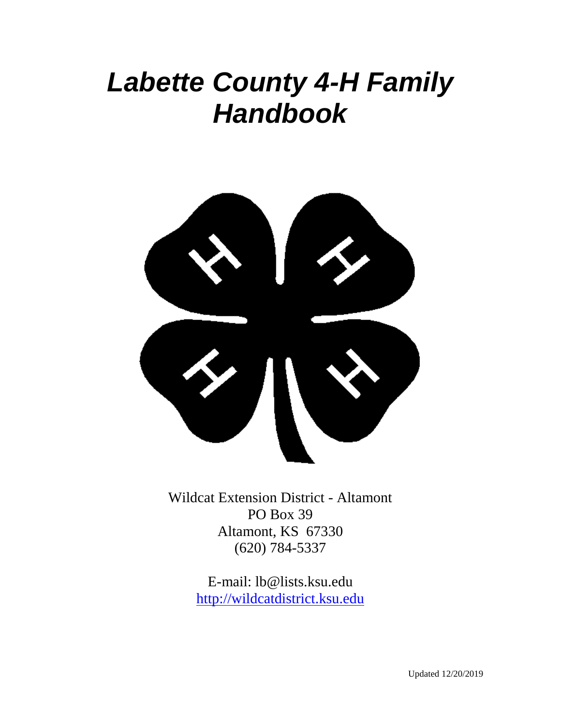# *Labette County 4-H Family Handbook*



Wildcat Extension District - Altamont PO Box 39 Altamont, KS 67330 (620) 784-5337

> E-mail: lb@lists.ksu.edu [http://wildcatdistrict.ksu.edu](http://labette.ksu.edu/)

> > Updated 12/20/2019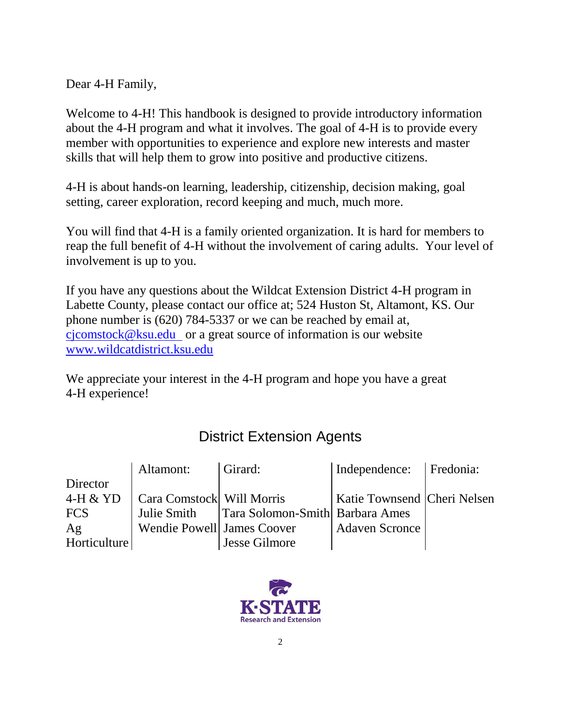Dear 4-H Family,

Welcome to 4-H! This handbook is designed to provide introductory information about the 4-H program and what it involves. The goal of 4-H is to provide every member with opportunities to experience and explore new interests and master skills that will help them to grow into positive and productive citizens.

4-H is about hands-on learning, leadership, citizenship, decision making, goal setting, career exploration, record keeping and much, much more.

You will find that 4-H is a family oriented organization. It is hard for members to reap the full benefit of 4-H without the involvement of caring adults. Your level of involvement is up to you.

If you have any questions about the Wildcat Extension District 4-H program in Labette County, please contact our office at; 524 Huston St, Altamont, KS. Our phone number is (620) 784-5337 or we can be reached by email at, [cjcomstock@ksu.edu](../cjcomstock@ksu.edu) or a great source of information is our website [www.wildcatdistrict.ksu.edu](http://www.wildcatdistrict.ksu.edu/)

We appreciate your interest in the 4-H program and hope you have a great 4-H experience!

# District Extension Agents

|              | Altamont:   Girard:        |                                               | Independence:   Fredonia:     |  |
|--------------|----------------------------|-----------------------------------------------|-------------------------------|--|
| Director     |                            |                                               |                               |  |
| 4-H & YD     |                            | Cara Comstock Will Morris                     | Katie Townsend   Cheri Nelsen |  |
| <b>FCS</b>   |                            | Julie Smith   Tara Solomon-Smith Barbara Ames |                               |  |
| Ag           | Wendie Powell James Coover |                                               | <b>Adaven Scronce</b>         |  |
| Horticulture |                            | <b>Jesse Gilmore</b>                          |                               |  |

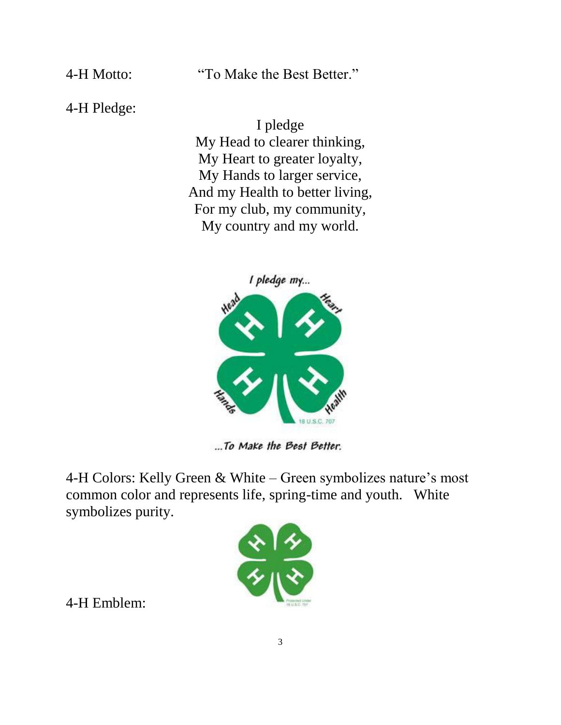4-H Motto: "To Make the Best Better."

4-H Pledge:

I pledge My Head to clearer thinking, My Heart to greater loyalty, My Hands to larger service, And my Health to better living, For my club, my community, My country and my world.



...To Make the Best Better.

4-H Colors: Kelly Green & White – Green symbolizes nature's most common color and represents life, spring-time and youth. White symbolizes purity.



4-H Emblem: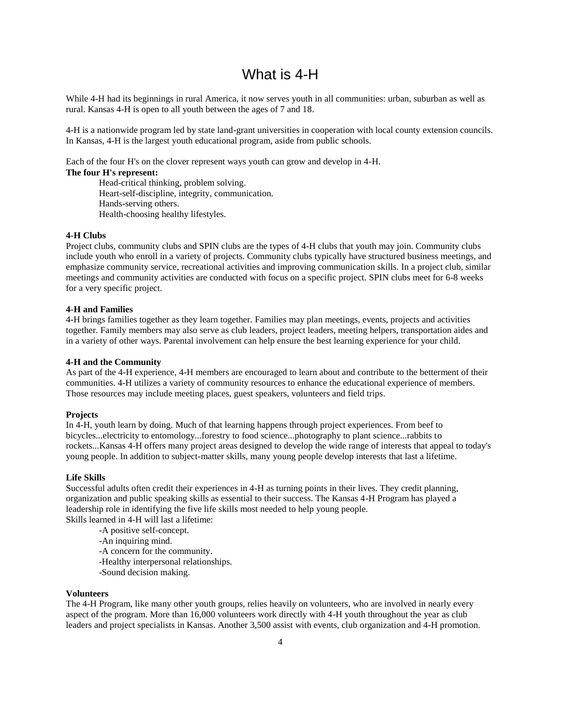# What is 4-H

While 4-H had its beginnings in rural America, it now serves youth in all communities: urban, suburban as well as rural. Kansas 4-H is open to all youth between the ages of 7 and 18.

4-H is a nationwide program led by state land-grant universities in cooperation with local county extension councils. In Kansas, 4-H is the largest youth educational program, aside from public schools.

Each of the four H's on the clover represent ways youth can grow and develop in 4-H.

#### **The four H's represent:**

Head-critical thinking, problem solving. Heart-self-discipline, integrity, communication. Hands-serving others. Health-choosing healthy lifestyles.

#### **4-H Clubs**

Project clubs, community clubs and SPIN clubs are the types of 4-H clubs that youth may join. Community clubs include youth who enroll in a variety of projects. Community clubs typically have structured business meetings, and emphasize community service, recreational activities and improving communication skills. In a project club, similar meetings and community activities are conducted with focus on a specific project. SPIN clubs meet for 6-8 weeks for a very specific project.

#### **4-H and Families**

4-H brings families together as they learn together. Families may plan meetings, events, projects and activities together. Family members may also serve as club leaders, project leaders, meeting helpers, transportation aides and in a variety of other ways. Parental involvement can help ensure the best learning experience for your child.

#### **4-H and the Community**

As part of the 4-H experience, 4-H members are encouraged to learn about and contribute to the betterment of their communities. 4-H utilizes a variety of community resources to enhance the educational experience of members. Those resources may include meeting places, guest speakers, volunteers and field trips.

#### **Projects**

In 4-H, youth learn by doing. Much of that learning happens through project experiences. From beef to bicycles...electricity to entomology...forestry to food science...photography to plant science...rabbits to rockets...Kansas 4-H offers many project areas designed to develop the wide range of interests that appeal to today's young people. In addition to subject-matter skills, many young people develop interests that last a lifetime.

#### **Life Skills**

Successful adults often credit their experiences in 4-H as turning points in their lives. They credit planning, organization and public speaking skills as essential to their success. The Kansas 4-H Program has played a leadership role in identifying the five life skills most needed to help young people. Skills learned in 4-H will last a lifetime:

- -A positive self-concept.
- -An inquiring mind.
- -A concern for the community.
- -Healthy interpersonal relationships.
- -Sound decision making.

#### **Volunteers**

The 4-H Program, like many other youth groups, relies heavily on volunteers, who are involved in nearly every aspect of the program. More than 16,000 volunteers work directly with 4-H youth throughout the year as club leaders and project specialists in Kansas. Another 3,500 assist with events, club organization and 4-H promotion.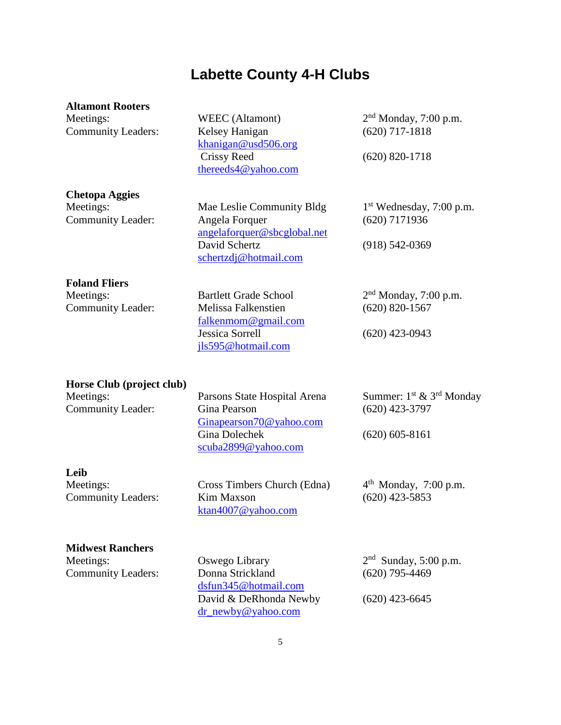# **Labette County 4-H Clubs**

#### **Altamont Rooters**

Meetings: WEEC (Altamont) Community Leaders: Kelsey Hanigan (620) 717-1818

**Chetopa Aggies**

Meetings: Mae Leslie Community Bldg Community Leader: Angela Forquer (620) 7171936 [angelaforquer@sbcglobal.net](mailto:angelaforquer@sbcglobal.net) David Schertz (918) 542-0369 [schertzdj@hotmail.com](mailto:schertzdj@hotmail.com)

[falkenmom@gmail.com](mailto:falkenmom@gmail.com)

[jls595@hotmail.com](mailto:jls595@hotmail.com)

[khanigan@usd506.org](mailto:khanigan@usd506.org)

[thereeds4@yahoo.com](../thereeds4@yahoo.com)

**Foland Fliers**

Meetings: Bartlett Grade School Community Leader: Melissa Falkenstien (620) 820-1567

**Horse Club (project club)**

Meetings: Parsons State Hospital Arena Community Leader: Gina Pearson (620) 423-3797 [Ginapearson70@yahoo.com](mailto:Ginapearson70@yahoo.com) Gina Dolechek (620) 605-8161 [scuba2899@yahoo.com](mailto:scuba2899@yahoo.com)

Summer:  $1^{\text{st}}$  &  $3^{\text{rd}}$  Monday

**Leib**

Meetings: Cross Timbers Church (Edna) Community Leaders: Kim Maxson (620) 423-5853 [ktan4007@yahoo.com](mailto:ktan4007@yahoo.com) 

 $4<sup>th</sup>$  Monday, 7:00 p.m.

**Midwest Ranchers** Meetings: Oswego Library

Community Leaders: Donna Strickland (620) 795-4469 [dsfun345@hotmail.com](mailto:dsfun345@hotmail.com) David & DeRhonda Newby (620) 423-6645 [dr\\_newby@yahoo.com](mailto:dr_newby@yahoo.com)

 $2<sup>nd</sup>$  Sunday, 5:00 p.m.

Crissy Reed (620) 820-1718

 $2<sup>nd</sup>$  Monday, 7:00 p.m.

 $1<sup>st</sup> Wednesday, 7:00 p.m.$ 

 $2<sup>nd</sup>$  Monday, 7:00 p.m.

Jessica Sorrell (620) 423-0943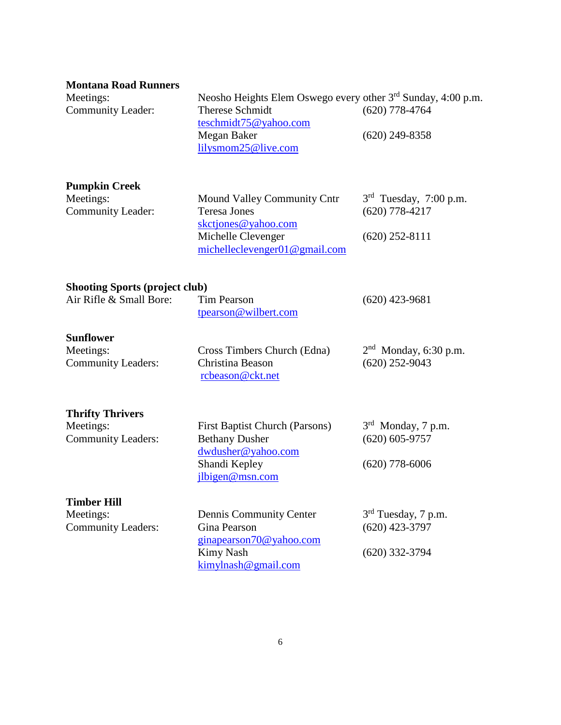|  |  | <b>Montana Road Runners</b> |
|--|--|-----------------------------|
|--|--|-----------------------------|

| IVIUIILAHA INJAU INUIIIICI 9<br>Meetings:<br><b>Community Leader:</b> | Neosho Heights Elem Oswego every other 3 <sup>rd</sup> Sunday, 4:00 p.m.<br><b>Therese Schmidt</b><br>teschmidt75@yahoo.com<br>Megan Baker<br>lilysmom25@live.com | $(620)$ 778-4764<br>$(620)$ 249-8358                                   |
|-----------------------------------------------------------------------|-------------------------------------------------------------------------------------------------------------------------------------------------------------------|------------------------------------------------------------------------|
| <b>Pumpkin Creek</b><br>Meetings:<br><b>Community Leader:</b>         | Mound Valley Community Cntr<br><b>Teresa Jones</b><br>skctjones@yahoo.com<br>Michelle Clevenger<br>michelleclevenger01@gmail.com                                  | $3rd$ Tuesday, 7:00 p.m.<br>$(620)$ 778-4217<br>$(620)$ 252-8111       |
| <b>Shooting Sports (project club)</b><br>Air Rifle & Small Bore:      | <b>Tim Pearson</b><br>tpearson@wilbert.com                                                                                                                        | $(620)$ 423-9681                                                       |
| <b>Sunflower</b><br>Meetings:<br><b>Community Leaders:</b>            | Cross Timbers Church (Edna)<br>Christina Beason<br>rcbeason@ckt.net                                                                                               | $2nd$ Monday, 6:30 p.m.<br>$(620)$ 252-9043                            |
| <b>Thrifty Thrivers</b><br>Meetings:<br><b>Community Leaders:</b>     | <b>First Baptist Church (Parsons)</b><br><b>Bethany Dusher</b><br>dwdusher@yahoo.com<br>Shandi Kepley<br>jlbigen@msn.com                                          | 3 <sup>rd</sup> Monday, 7 p.m.<br>$(620)$ 605-9757<br>$(620)$ 778-6006 |
| <b>Timber Hill</b><br>Meetings:<br><b>Community Leaders:</b>          | Dennis Community Center<br>Gina Pearson<br>ginapearson70@yahoo.com<br>Kimy Nash<br>$k$ imylnash@gmail.com                                                         | $3rd$ Tuesday, 7 p.m.<br>$(620)$ 423-3797<br>$(620)$ 332-3794          |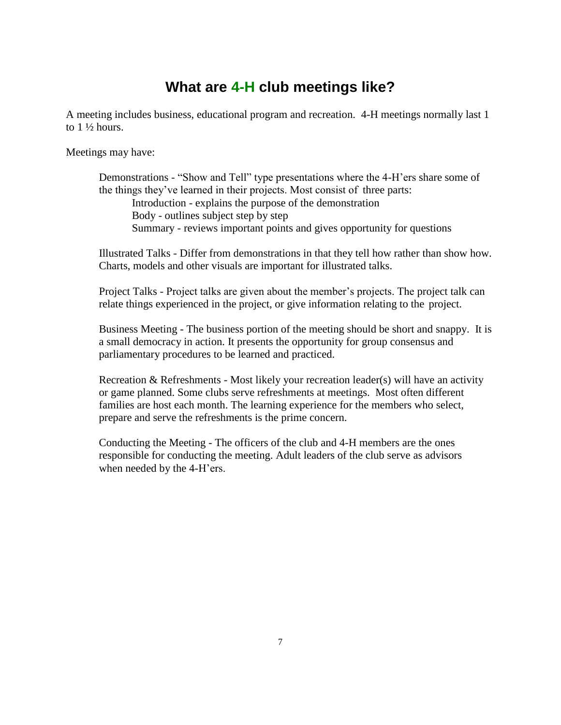# **What are 4-H club meetings like?**

A meeting includes business, educational program and recreation. 4-H meetings normally last 1 to  $1\frac{1}{2}$  hours.

Meetings may have:

Demonstrations - "Show and Tell" type presentations where the 4-H'ers share some of the things they've learned in their projects. Most consist of three parts: Introduction - explains the purpose of the demonstration Body - outlines subject step by step Summary - reviews important points and gives opportunity for questions

Illustrated Talks - Differ from demonstrations in that they tell how rather than show how. Charts, models and other visuals are important for illustrated talks.

Project Talks - Project talks are given about the member's projects. The project talk can relate things experienced in the project, or give information relating to the project.

Business Meeting - The business portion of the meeting should be short and snappy. It is a small democracy in action. It presents the opportunity for group consensus and parliamentary procedures to be learned and practiced.

Recreation & Refreshments - Most likely your recreation leader(s) will have an activity or game planned. Some clubs serve refreshments at meetings. Most often different families are host each month. The learning experience for the members who select, prepare and serve the refreshments is the prime concern.

Conducting the Meeting - The officers of the club and 4-H members are the ones responsible for conducting the meeting. Adult leaders of the club serve as advisors when needed by the 4-H'ers.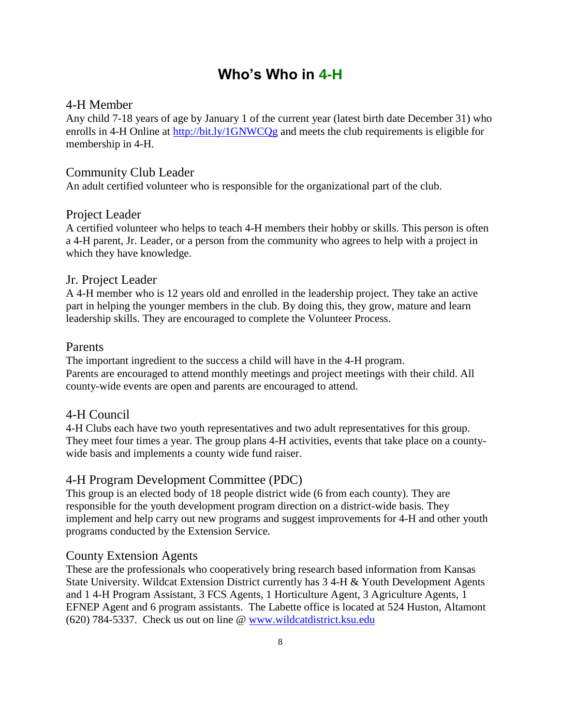# **Who's Who in 4-H**

### 4-H Member

Any child 7-18 years of age by January 1 of the current year (latest birth date December 31) who enrolls in 4-H Online at <http://bit.ly/1GNWCQg> and meets the club requirements is eligible for membership in 4-H.

### Community Club Leader

An adult certified volunteer who is responsible for the organizational part of the club.

### Project Leader

A certified volunteer who helps to teach 4-H members their hobby or skills. This person is often a 4-H parent, Jr. Leader, or a person from the community who agrees to help with a project in which they have knowledge.

### Jr. Project Leader

A 4-H member who is 12 years old and enrolled in the leadership project. They take an active part in helping the younger members in the club. By doing this, they grow, mature and learn leadership skills. They are encouraged to complete the Volunteer Process.

### Parents

The important ingredient to the success a child will have in the 4-H program. Parents are encouraged to attend monthly meetings and project meetings with their child. All county-wide events are open and parents are encouraged to attend.

### 4-H Council

4-H Clubs each have two youth representatives and two adult representatives for this group. They meet four times a year. The group plans 4-H activities, events that take place on a countywide basis and implements a county wide fund raiser.

### 4-H Program Development Committee (PDC)

This group is an elected body of 18 people district wide (6 from each county). They are responsible for the youth development program direction on a district-wide basis. They implement and help carry out new programs and suggest improvements for 4-H and other youth programs conducted by the Extension Service.

### County Extension Agents

These are the professionals who cooperatively bring research based information from Kansas State University. Wildcat Extension District currently has 3 4-H & Youth Development Agents and 1 4-H Program Assistant, 3 FCS Agents, 1 Horticulture Agent, 3 Agriculture Agents, 1 EFNEP Agent and 6 program assistants. The Labette office is located at 524 Huston, Altamont (620) 784-5337. Check us out on line @ [www.wildcatdistrict.ksu.edu](http://www.wildcatdistrict.ksu.edu/)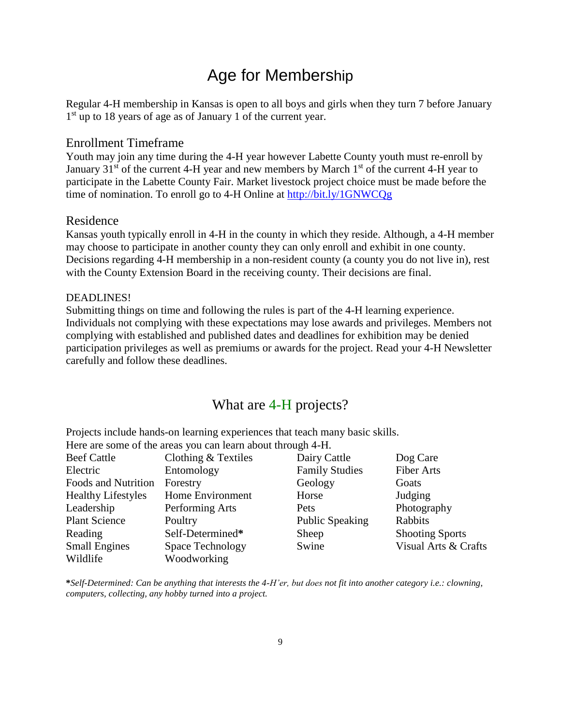# Age for Membership

Regular 4-H membership in Kansas is open to all boys and girls when they turn 7 before January 1<sup>st</sup> up to 18 years of age as of January 1 of the current year.

### Enrollment Timeframe

Youth may join any time during the 4-H year however Labette County youth must re-enroll by January  $31<sup>st</sup>$  of the current 4-H year and new members by March  $1<sup>st</sup>$  of the current 4-H year to participate in the Labette County Fair. Market livestock project choice must be made before the time of nomination. To enroll go to 4-H Online at <http://bit.ly/1GNWCQg>

### Residence

Kansas youth typically enroll in 4-H in the county in which they reside. Although, a 4-H member may choose to participate in another county they can only enroll and exhibit in one county. Decisions regarding 4-H membership in a non-resident county (a county you do not live in), rest with the County Extension Board in the receiving county. Their decisions are final.

#### DEADLINES!

Submitting things on time and following the rules is part of the 4-H learning experience. Individuals not complying with these expectations may lose awards and privileges. Members not complying with established and published dates and deadlines for exhibition may be denied participation privileges as well as premiums or awards for the project. Read your 4-H Newsletter carefully and follow these deadlines.

### What are 4-H projects?

Projects include hands-on learning experiences that teach many basic skills. Here are some of the areas you can learn about through 4-H.

| Clothing $&$ Textiles | Dairy Cattle          | Dog Care               |
|-----------------------|-----------------------|------------------------|
| Entomology            | <b>Family Studies</b> | <b>Fiber Arts</b>      |
| Forestry              | Geology               | Goats                  |
| Home Environment      | Horse                 | Judging                |
| Performing Arts       | Pets                  | Photography            |
| Poultry               | Public Speaking       | Rabbits                |
| Self-Determined*      | Sheep                 | <b>Shooting Sports</b> |
| Space Technology      | Swine                 | Visual Arts & Crafts   |
| Woodworking           |                       |                        |
|                       |                       |                        |

**\****Self-Determined: Can be anything that interests the 4-H'er, but does not fit into another category i.e.: clowning, computers, collecting, any hobby turned into a project.*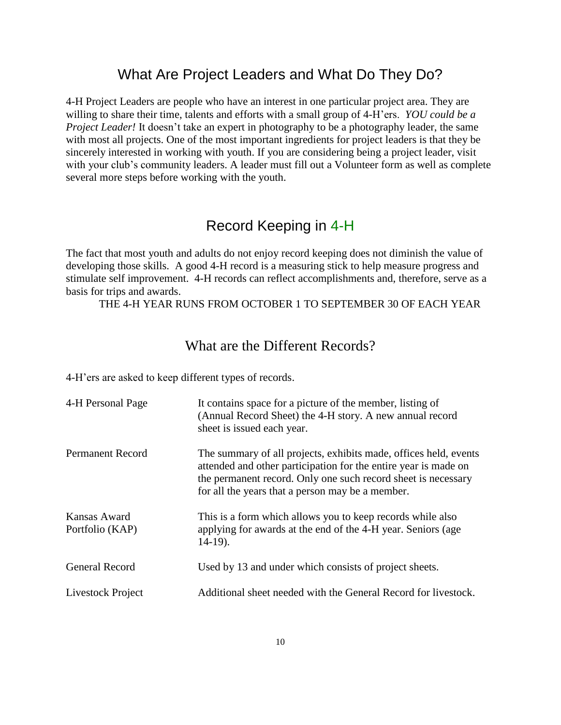## What Are Project Leaders and What Do They Do?

4-H Project Leaders are people who have an interest in one particular project area. They are willing to share their time, talents and efforts with a small group of 4-H'ers. *YOU could be a Project Leader!* It doesn't take an expert in photography to be a photography leader, the same with most all projects. One of the most important ingredients for project leaders is that they be sincerely interested in working with youth. If you are considering being a project leader, visit with your club's community leaders. A leader must fill out a Volunteer form as well as complete several more steps before working with the youth.

## Record Keeping in 4-H

The fact that most youth and adults do not enjoy record keeping does not diminish the value of developing those skills. A good 4-H record is a measuring stick to help measure progress and stimulate self improvement. 4-H records can reflect accomplishments and, therefore, serve as a basis for trips and awards.

THE 4-H YEAR RUNS FROM OCTOBER 1 TO SEPTEMBER 30 OF EACH YEAR

### What are the Different Records?

4-H'ers are asked to keep different types of records.

| 4-H Personal Page               | It contains space for a picture of the member, listing of<br>(Annual Record Sheet) the 4-H story. A new annual record<br>sheet is issued each year.                                                                                                      |
|---------------------------------|----------------------------------------------------------------------------------------------------------------------------------------------------------------------------------------------------------------------------------------------------------|
| <b>Permanent Record</b>         | The summary of all projects, exhibits made, offices held, events<br>attended and other participation for the entire year is made on<br>the permanent record. Only one such record sheet is necessary<br>for all the years that a person may be a member. |
| Kansas Award<br>Portfolio (KAP) | This is a form which allows you to keep records while also<br>applying for awards at the end of the 4-H year. Seniors (age<br>$14-19$ ).                                                                                                                 |
| <b>General Record</b>           | Used by 13 and under which consists of project sheets.                                                                                                                                                                                                   |
| Livestock Project               | Additional sheet needed with the General Record for livestock.                                                                                                                                                                                           |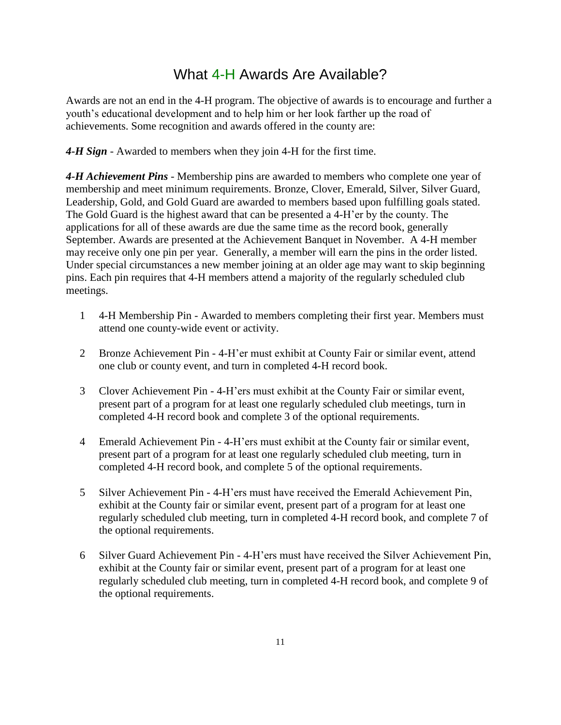# What 4-H Awards Are Available?

Awards are not an end in the 4-H program. The objective of awards is to encourage and further a youth's educational development and to help him or her look farther up the road of achievements. Some recognition and awards offered in the county are:

*4-H Sign* - Awarded to members when they join 4-H for the first time.

*4-H Achievement Pins* - Membership pins are awarded to members who complete one year of membership and meet minimum requirements. Bronze, Clover, Emerald, Silver, Silver Guard, Leadership, Gold, and Gold Guard are awarded to members based upon fulfilling goals stated. The Gold Guard is the highest award that can be presented a 4-H'er by the county. The applications for all of these awards are due the same time as the record book, generally September. Awards are presented at the Achievement Banquet in November. A 4-H member may receive only one pin per year. Generally, a member will earn the pins in the order listed. Under special circumstances a new member joining at an older age may want to skip beginning pins. Each pin requires that 4-H members attend a majority of the regularly scheduled club meetings.

- 1 4-H Membership Pin Awarded to members completing their first year. Members must attend one county-wide event or activity.
- 2 Bronze Achievement Pin 4-H'er must exhibit at County Fair or similar event, attend one club or county event, and turn in completed 4-H record book.
- 3 Clover Achievement Pin 4-H'ers must exhibit at the County Fair or similar event, present part of a program for at least one regularly scheduled club meetings, turn in completed 4-H record book and complete 3 of the optional requirements.
- 4 Emerald Achievement Pin 4-H'ers must exhibit at the County fair or similar event, present part of a program for at least one regularly scheduled club meeting, turn in completed 4-H record book, and complete 5 of the optional requirements.
- 5 Silver Achievement Pin 4-H'ers must have received the Emerald Achievement Pin, exhibit at the County fair or similar event, present part of a program for at least one regularly scheduled club meeting, turn in completed 4-H record book, and complete 7 of the optional requirements.
- 6 Silver Guard Achievement Pin 4-H'ers must have received the Silver Achievement Pin, exhibit at the County fair or similar event, present part of a program for at least one regularly scheduled club meeting, turn in completed 4-H record book, and complete 9 of the optional requirements.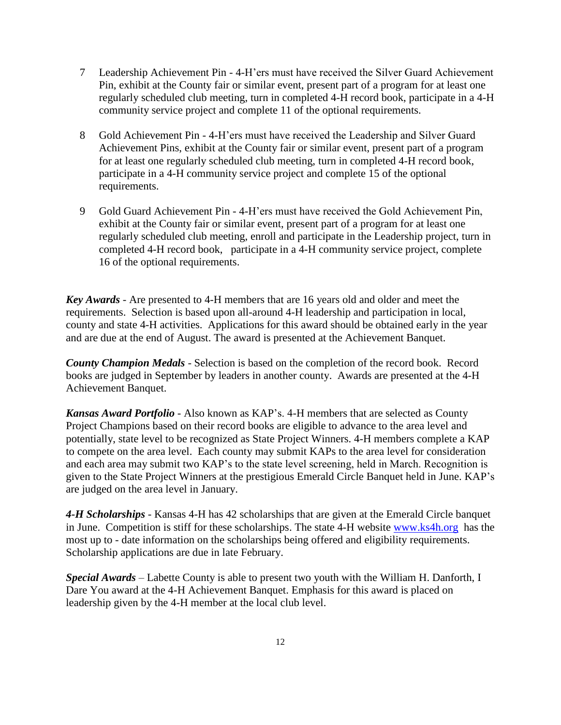- 7 Leadership Achievement Pin 4-H'ers must have received the Silver Guard Achievement Pin, exhibit at the County fair or similar event, present part of a program for at least one regularly scheduled club meeting, turn in completed 4-H record book, participate in a 4-H community service project and complete 11 of the optional requirements.
- 8 Gold Achievement Pin 4-H'ers must have received the Leadership and Silver Guard Achievement Pins, exhibit at the County fair or similar event, present part of a program for at least one regularly scheduled club meeting, turn in completed 4-H record book, participate in a 4-H community service project and complete 15 of the optional requirements.
- 9 Gold Guard Achievement Pin 4-H'ers must have received the Gold Achievement Pin, exhibit at the County fair or similar event, present part of a program for at least one regularly scheduled club meeting, enroll and participate in the Leadership project, turn in completed 4-H record book, participate in a 4-H community service project, complete 16 of the optional requirements.

*Key Awards* - Are presented to 4-H members that are 16 years old and older and meet the requirements. Selection is based upon all-around 4-H leadership and participation in local, county and state 4-H activities. Applications for this award should be obtained early in the year and are due at the end of August. The award is presented at the Achievement Banquet.

*County Champion Medals* - Selection is based on the completion of the record book. Record books are judged in September by leaders in another county. Awards are presented at the 4-H Achievement Banquet.

*Kansas Award Portfolio* - Also known as KAP's. 4-H members that are selected as County Project Champions based on their record books are eligible to advance to the area level and potentially, state level to be recognized as State Project Winners. 4-H members complete a KAP to compete on the area level. Each county may submit KAPs to the area level for consideration and each area may submit two KAP's to the state level screening, held in March. Recognition is given to the State Project Winners at the prestigious Emerald Circle Banquet held in June. KAP's are judged on the area level in January.

*4-H Scholarships* - Kansas 4-H has 42 scholarships that are given at the Emerald Circle banquet in June. Competition is stiff for these scholarships. The state 4-H website [www.ks4h.org](http://www.ks4h.org/) has the most up to - date information on the scholarships being offered and eligibility requirements. Scholarship applications are due in late February.

*Special Awards* – Labette County is able to present two youth with the William H. Danforth, I Dare You award at the 4-H Achievement Banquet. Emphasis for this award is placed on leadership given by the 4-H member at the local club level.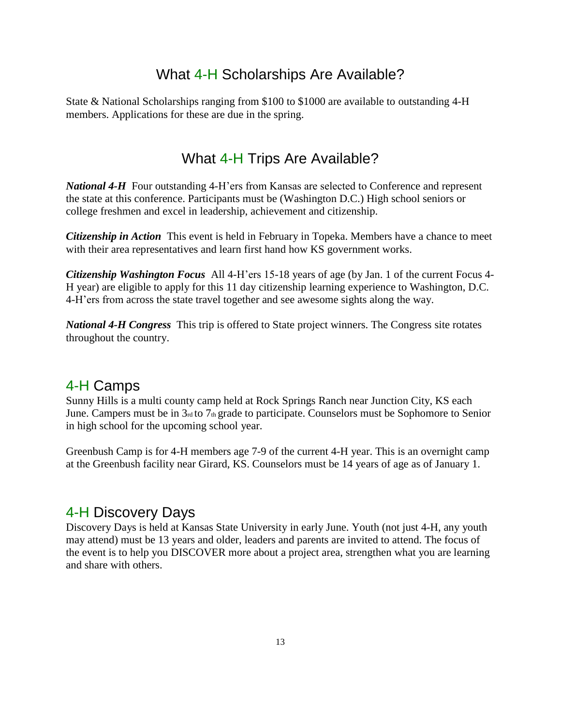# What 4-H Scholarships Are Available?

State & National Scholarships ranging from \$100 to \$1000 are available to outstanding 4-H members. Applications for these are due in the spring.

# What 4-H Trips Are Available?

*National 4-H* Four outstanding 4-H'ers from Kansas are selected to Conference and represent the state at this conference. Participants must be (Washington D.C.) High school seniors or college freshmen and excel in leadership, achievement and citizenship.

*Citizenship in Action* This event is held in February in Topeka. Members have a chance to meet with their area representatives and learn first hand how KS government works.

*Citizenship Washington Focus* All 4-H'ers 15-18 years of age (by Jan. 1 of the current Focus 4- H year) are eligible to apply for this 11 day citizenship learning experience to Washington, D.C. 4-H'ers from across the state travel together and see awesome sights along the way.

*National 4-H Congress* This trip is offered to State project winners. The Congress site rotates throughout the country.

# 4-H Camps

Sunny Hills is a multi county camp held at Rock Springs Ranch near Junction City, KS each June. Campers must be in  $3<sub>rd</sub>$  to  $7<sub>th</sub>$  grade to participate. Counselors must be Sophomore to Senior in high school for the upcoming school year.

Greenbush Camp is for 4-H members age 7-9 of the current 4-H year. This is an overnight camp at the Greenbush facility near Girard, KS. Counselors must be 14 years of age as of January 1.

# 4-H Discovery Days

Discovery Days is held at Kansas State University in early June. Youth (not just 4-H, any youth may attend) must be 13 years and older, leaders and parents are invited to attend. The focus of the event is to help you DISCOVER more about a project area, strengthen what you are learning and share with others.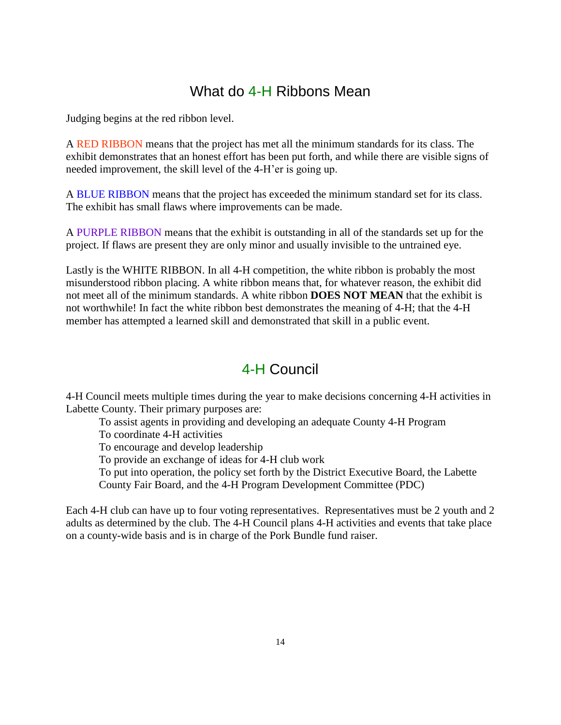# What do 4-H Ribbons Mean

Judging begins at the red ribbon level.

A RED RIBBON means that the project has met all the minimum standards for its class. The exhibit demonstrates that an honest effort has been put forth, and while there are visible signs of needed improvement, the skill level of the 4-H'er is going up.

A BLUE RIBBON means that the project has exceeded the minimum standard set for its class. The exhibit has small flaws where improvements can be made.

A PURPLE RIBBON means that the exhibit is outstanding in all of the standards set up for the project. If flaws are present they are only minor and usually invisible to the untrained eye.

Lastly is the WHITE RIBBON. In all 4-H competition, the white ribbon is probably the most misunderstood ribbon placing. A white ribbon means that, for whatever reason, the exhibit did not meet all of the minimum standards. A white ribbon **DOES NOT MEAN** that the exhibit is not worthwhile! In fact the white ribbon best demonstrates the meaning of 4-H; that the 4-H member has attempted a learned skill and demonstrated that skill in a public event.

# 4-H Council

4-H Council meets multiple times during the year to make decisions concerning 4-H activities in Labette County. Their primary purposes are:

To assist agents in providing and developing an adequate County 4-H Program To coordinate 4-H activities

To encourage and develop leadership

To provide an exchange of ideas for 4-H club work

To put into operation, the policy set forth by the District Executive Board, the Labette County Fair Board, and the 4-H Program Development Committee (PDC)

Each 4-H club can have up to four voting representatives. Representatives must be 2 youth and 2 adults as determined by the club. The 4-H Council plans 4-H activities and events that take place on a county-wide basis and is in charge of the Pork Bundle fund raiser.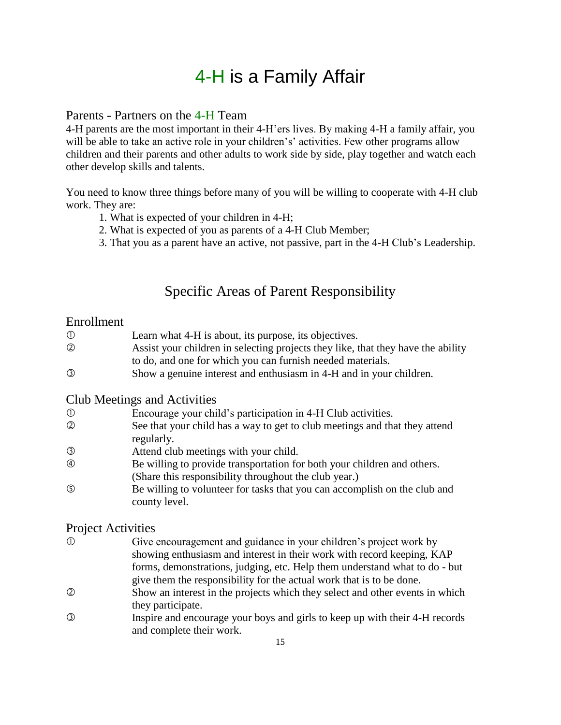# 4-H is a Family Affair

### Parents - Partners on the 4-H Team

4-H parents are the most important in their 4-H'ers lives. By making 4-H a family affair, you will be able to take an active role in your children's' activities. Few other programs allow children and their parents and other adults to work side by side, play together and watch each other develop skills and talents.

You need to know three things before many of you will be willing to cooperate with 4-H club work. They are:

- 1. What is expected of your children in 4-H;
- 2. What is expected of you as parents of a 4-H Club Member;
- 3. That you as a parent have an active, not passive, part in the 4-H Club's Leadership.

# Specific Areas of Parent Responsibility

### Enrollment

- Learn what 4-H is about, its purpose, its objectives. Assist your children in selecting projects they like, that they have the ability to do, and one for which you can furnish needed materials.
- Show a genuine interest and enthusiasm in 4-H and in your children.

### Club Meetings and Activities

- Encourage your child's participation in 4-H Club activities.
- See that your child has a way to get to club meetings and that they attend regularly.
- Attend club meetings with your child.
- Be willing to provide transportation for both your children and others. (Share this responsibility throughout the club year.)
- Be willing to volunteer for tasks that you can accomplish on the club and county level.

### Project Activities

- Give encouragement and guidance in your children's project work by showing enthusiasm and interest in their work with record keeping, KAP forms, demonstrations, judging, etc. Help them understand what to do - but give them the responsibility for the actual work that is to be done.
- Show an interest in the projects which they select and other events in which they participate.
- Inspire and encourage your boys and girls to keep up with their 4-H records and complete their work.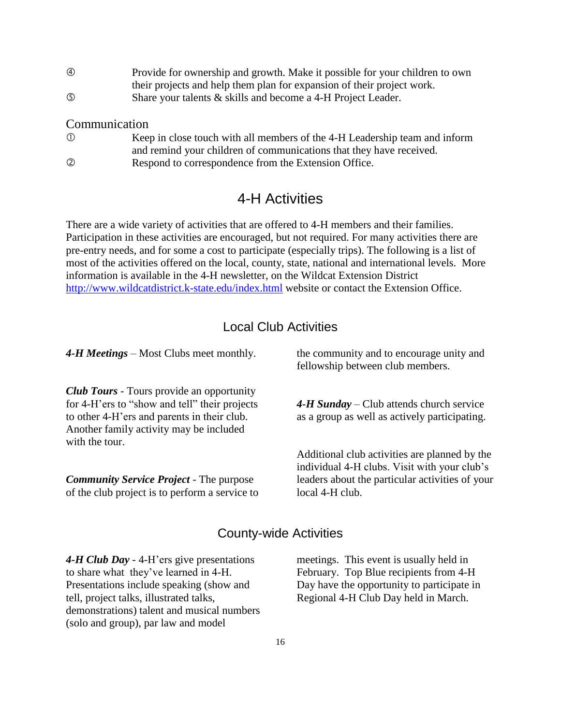| $\circledA$ | Provide for ownership and growth. Make it possible for your children to own |
|-------------|-----------------------------------------------------------------------------|
|             | their projects and help them plan for expansion of their project work.      |
| $\circledS$ | Share your talents & skills and become a 4-H Project Leader.                |

### Communication

| $\circled{1}$  | Keep in close touch with all members of the 4-H Leadership team and inform |
|----------------|----------------------------------------------------------------------------|
|                | and remind your children of communications that they have received.        |
| $^{\circledR}$ | Respond to correspondence from the Extension Office.                       |

### 4-H Activities

There are a wide variety of activities that are offered to 4-H members and their families. Participation in these activities are encouraged, but not required. For many activities there are pre-entry needs, and for some a cost to participate (especially trips). The following is a list of most of the activities offered on the local, county, state, national and international levels. More information is available in the 4-H newsletter, on the Wildcat Extension District <http://www.wildcatdistrict.k-state.edu/index.html> website or contact the Extension Office.

### Local Club Activities

*4-H Meetings* – Most Clubs meet monthly.

*Club Tours* - Tours provide an opportunity for 4-H'ers to "show and tell" their projects to other 4-H'ers and parents in their club. Another family activity may be included with the tour.

*Community Service Project* - The purpose of the club project is to perform a service to the community and to encourage unity and fellowship between club members.

*4-H Sunday* – Club attends church service as a group as well as actively participating.

Additional club activities are planned by the individual 4-H clubs. Visit with your club's leaders about the particular activities of your local 4-H club.

### County-wide Activities

*4-H Club Day* - 4-H'ers give presentations to share what they've learned in 4-H. Presentations include speaking (show and tell, project talks, illustrated talks, demonstrations) talent and musical numbers (solo and group), par law and model

meetings. This event is usually held in February. Top Blue recipients from 4-H Day have the opportunity to participate in Regional 4-H Club Day held in March.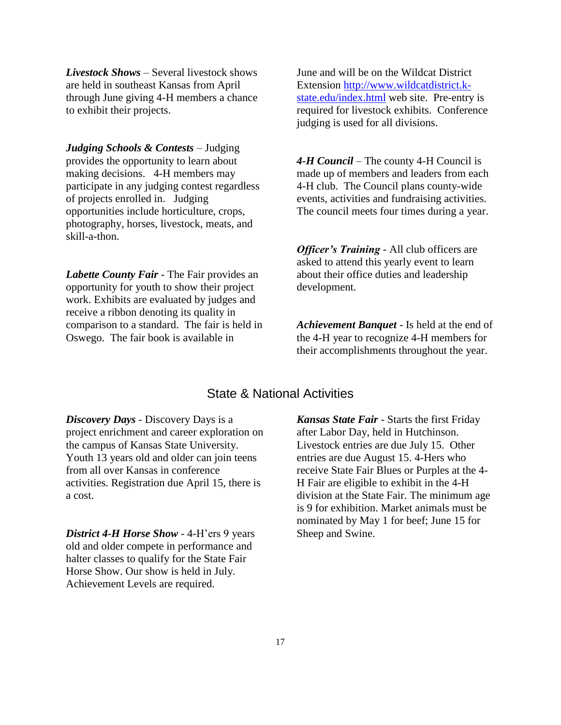*Livestock Shows* – Several livestock shows are held in southeast Kansas from April through June giving 4-H members a chance to exhibit their projects.

*Judging Schools & Contests* – Judging provides the opportunity to learn about making decisions. 4-H members may participate in any judging contest regardless of projects enrolled in. Judging opportunities include horticulture, crops, photography, horses, livestock, meats, and skill-a-thon.

*Labette County Fair* - The Fair provides an opportunity for youth to show their project work. Exhibits are evaluated by judges and receive a ribbon denoting its quality in comparison to a standard. The fair is held in Oswego. The fair book is available in

June and will be on the Wildcat District Extension [http://www.wildcatdistrict.k](http://www.wildcatdistrict.k-state.edu/index.html)[state.edu/index.html](http://www.wildcatdistrict.k-state.edu/index.html) web site. Pre-entry is required for livestock exhibits. Conference judging is used for all divisions.

*4-H Council* – The county 4-H Council is made up of members and leaders from each 4-H club. The Council plans county-wide events, activities and fundraising activities. The council meets four times during a year.

*Officer's Training* - All club officers are asked to attend this yearly event to learn about their office duties and leadership development.

*Achievement Banquet* - Is held at the end of the 4-H year to recognize 4-H members for their accomplishments throughout the year.

### State & National Activities

*Discovery Days* - Discovery Days is a project enrichment and career exploration on the campus of Kansas State University. Youth 13 years old and older can join teens from all over Kansas in conference activities. Registration due April 15, there is a cost.

*District 4-H Horse Show* - 4-H'ers 9 years old and older compete in performance and halter classes to qualify for the State Fair Horse Show. Our show is held in July. Achievement Levels are required.

*Kansas State Fair* - Starts the first Friday after Labor Day, held in Hutchinson. Livestock entries are due July 15. Other entries are due August 15. 4-Hers who receive State Fair Blues or Purples at the 4- H Fair are eligible to exhibit in the 4-H division at the State Fair. The minimum age is 9 for exhibition. Market animals must be nominated by May 1 for beef; June 15 for Sheep and Swine.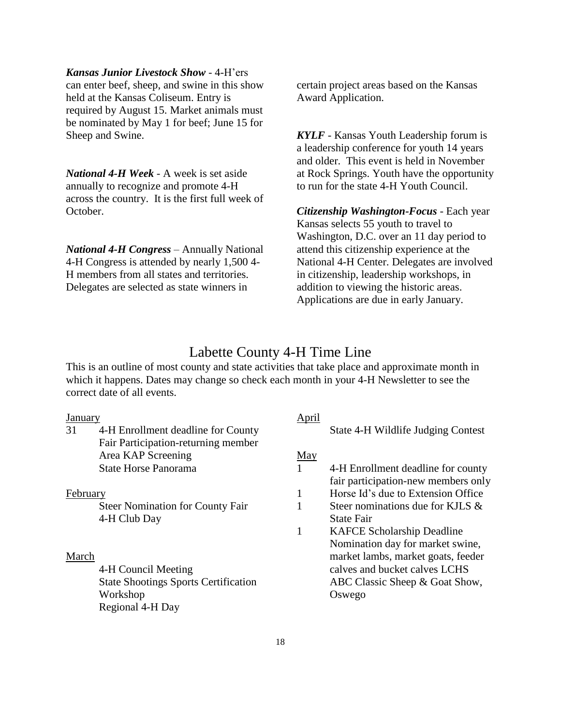#### *Kansas Junior Livestock Show* - 4-H'ers

can enter beef, sheep, and swine in this show held at the Kansas Coliseum. Entry is required by August 15. Market animals must be nominated by May 1 for beef; June 15 for Sheep and Swine.

*National 4-H Week* - A week is set aside annually to recognize and promote 4-H across the country. It is the first full week of October.

*National 4-H Congress* – Annually National 4-H Congress is attended by nearly 1,500 4- H members from all states and territories. Delegates are selected as state winners in

certain project areas based on the Kansas Award Application.

*KYLF* - Kansas Youth Leadership forum is a leadership conference for youth 14 years and older. This event is held in November at Rock Springs. Youth have the opportunity to run for the state 4-H Youth Council.

*Citizenship Washington-Focus* - Each year Kansas selects 55 youth to travel to Washington, D.C. over an 11 day period to attend this citizenship experience at the National 4-H Center. Delegates are involved in citizenship, leadership workshops, in addition to viewing the historic areas. Applications are due in early January.

### Labette County 4-H Time Line

April

This is an outline of most county and state activities that take place and approximate month in which it happens. Dates may change so check each month in your 4-H Newsletter to see the correct date of all events.

### January

|          |                                             | $1 - p + n$ |                                     |
|----------|---------------------------------------------|-------------|-------------------------------------|
| 31       | 4-H Enrollment deadline for County          |             | State 4-H Wildlife Judging Contest  |
|          | Fair Participation-returning member         |             |                                     |
|          | Area KAP Screening                          | May         |                                     |
|          | <b>State Horse Panorama</b>                 |             | 4-H Enrollment deadline for county  |
|          |                                             |             | fair participation-new members only |
| February |                                             |             | Horse Id's due to Extension Office  |
|          | <b>Steer Nomination for County Fair</b>     |             | Steer nominations due for KJLS &    |
|          | 4-H Club Day                                |             | <b>State Fair</b>                   |
|          |                                             |             | <b>KAFCE Scholarship Deadline</b>   |
|          |                                             |             | Nomination day for market swine,    |
| March    |                                             |             | market lambs, market goats, feeder  |
|          | 4-H Council Meeting                         |             | calves and bucket calves LCHS       |
|          | <b>State Shootings Sports Certification</b> |             | ABC Classic Sheep & Goat Show,      |
|          | Workshop                                    |             | Oswego                              |
|          | Regional 4-H Day                            |             |                                     |